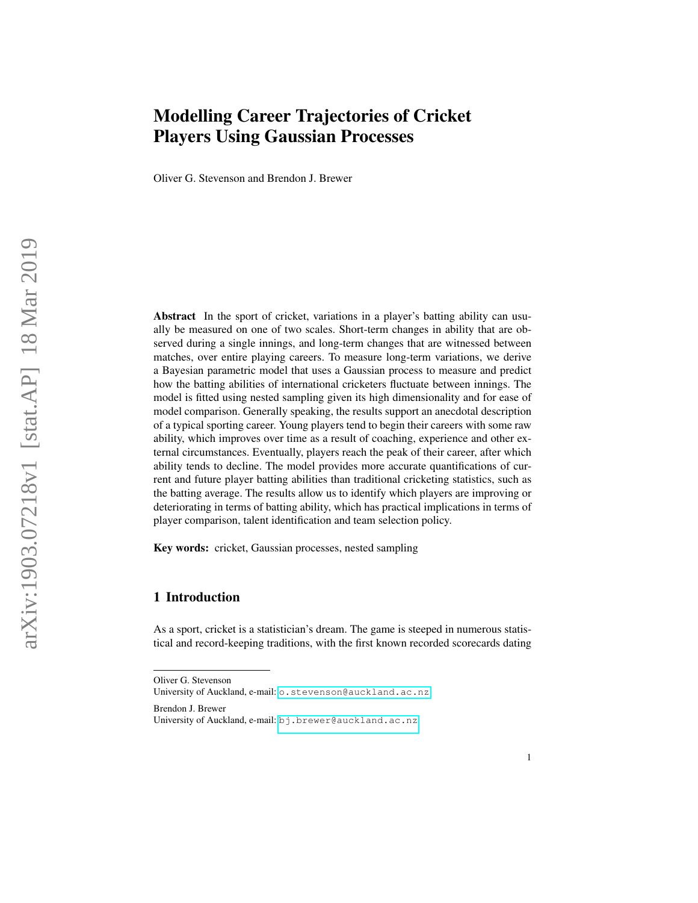# Modelling Career Trajectories of Cricket Players Using Gaussian Processes

Oliver G. Stevenson and Brendon J. Brewer

Abstract In the sport of cricket, variations in a player's batting ability can usually be measured on one of two scales. Short-term changes in ability that are observed during a single innings, and long-term changes that are witnessed between matches, over entire playing careers. To measure long-term variations, we derive a Bayesian parametric model that uses a Gaussian process to measure and predict how the batting abilities of international cricketers fluctuate between innings. The model is fitted using nested sampling given its high dimensionality and for ease of model comparison. Generally speaking, the results support an anecdotal description of a typical sporting career. Young players tend to begin their careers with some raw ability, which improves over time as a result of coaching, experience and other external circumstances. Eventually, players reach the peak of their career, after which ability tends to decline. The model provides more accurate quantifications of current and future player batting abilities than traditional cricketing statistics, such as the batting average. The results allow us to identify which players are improving or deteriorating in terms of batting ability, which has practical implications in terms of player comparison, talent identification and team selection policy.

Key words: cricket, Gaussian processes, nested sampling

# 1 Introduction

As a sport, cricket is a statistician's dream. The game is steeped in numerous statistical and record-keeping traditions, with the first known recorded scorecards dating

Brendon J. Brewer University of Auckland, e-mail: <bj.brewer@auckland.ac.nz>

Oliver G. Stevenson

University of Auckland, e-mail: <o.stevenson@auckland.ac.nz>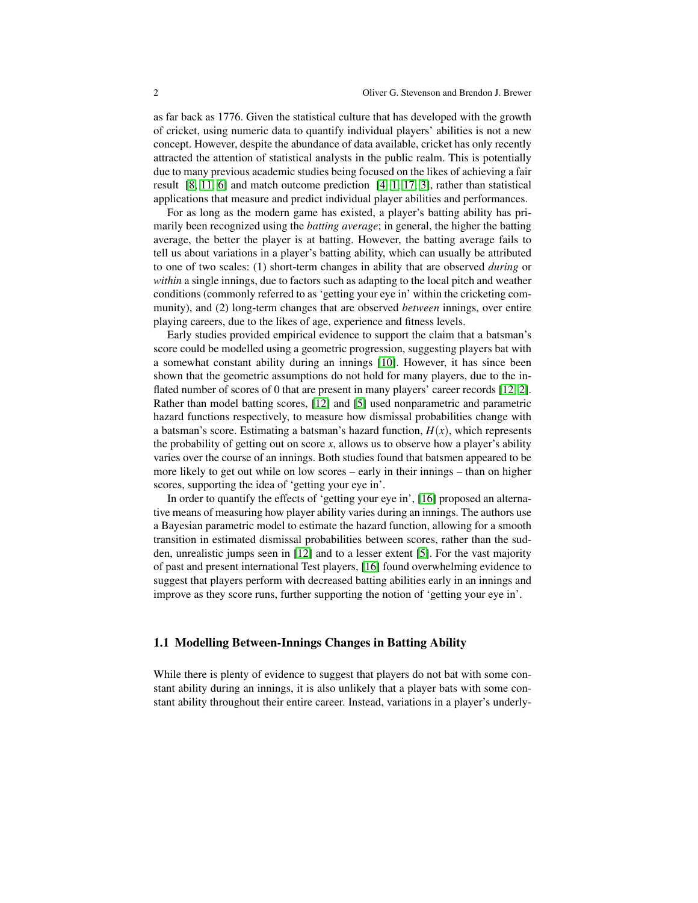as far back as 1776. Given the statistical culture that has developed with the growth of cricket, using numeric data to quantify individual players' abilities is not a new concept. However, despite the abundance of data available, cricket has only recently attracted the attention of statistical analysts in the public realm. This is potentially due to many previous academic studies being focused on the likes of achieving a fair result [\[8,](#page-8-0) [11,](#page-8-1) [6\]](#page-8-2) and match outcome prediction [\[4,](#page-8-3) [1,](#page-8-4) [17,](#page-8-5) [3\]](#page-8-6), rather than statistical applications that measure and predict individual player abilities and performances.

For as long as the modern game has existed, a player's batting ability has primarily been recognized using the *batting average*; in general, the higher the batting average, the better the player is at batting. However, the batting average fails to tell us about variations in a player's batting ability, which can usually be attributed to one of two scales: (1) short-term changes in ability that are observed *during* or *within* a single innings, due to factors such as adapting to the local pitch and weather conditions (commonly referred to as 'getting your eye in' within the cricketing community), and (2) long-term changes that are observed *between* innings, over entire playing careers, due to the likes of age, experience and fitness levels.

Early studies provided empirical evidence to support the claim that a batsman's score could be modelled using a geometric progression, suggesting players bat with a somewhat constant ability during an innings [\[10\]](#page-8-7). However, it has since been shown that the geometric assumptions do not hold for many players, due to the inflated number of scores of 0 that are present in many players' career records [\[12,](#page-8-8) [2\]](#page-8-9). Rather than model batting scores, [\[12\]](#page-8-8) and [\[5\]](#page-8-10) used nonparametric and parametric hazard functions respectively, to measure how dismissal probabilities change with a batsman's score. Estimating a batsman's hazard function,  $H(x)$ , which represents the probability of getting out on score  $x$ , allows us to observe how a player's ability varies over the course of an innings. Both studies found that batsmen appeared to be more likely to get out while on low scores – early in their innings – than on higher scores, supporting the idea of 'getting your eye in'.

In order to quantify the effects of 'getting your eye in', [\[16\]](#page-8-11) proposed an alternative means of measuring how player ability varies during an innings. The authors use a Bayesian parametric model to estimate the hazard function, allowing for a smooth transition in estimated dismissal probabilities between scores, rather than the sudden, unrealistic jumps seen in [\[12\]](#page-8-8) and to a lesser extent [\[5\]](#page-8-10). For the vast majority of past and present international Test players, [\[16\]](#page-8-11) found overwhelming evidence to suggest that players perform with decreased batting abilities early in an innings and improve as they score runs, further supporting the notion of 'getting your eye in'.

## 1.1 Modelling Between-Innings Changes in Batting Ability

While there is plenty of evidence to suggest that players do not bat with some constant ability during an innings, it is also unlikely that a player bats with some constant ability throughout their entire career. Instead, variations in a player's underly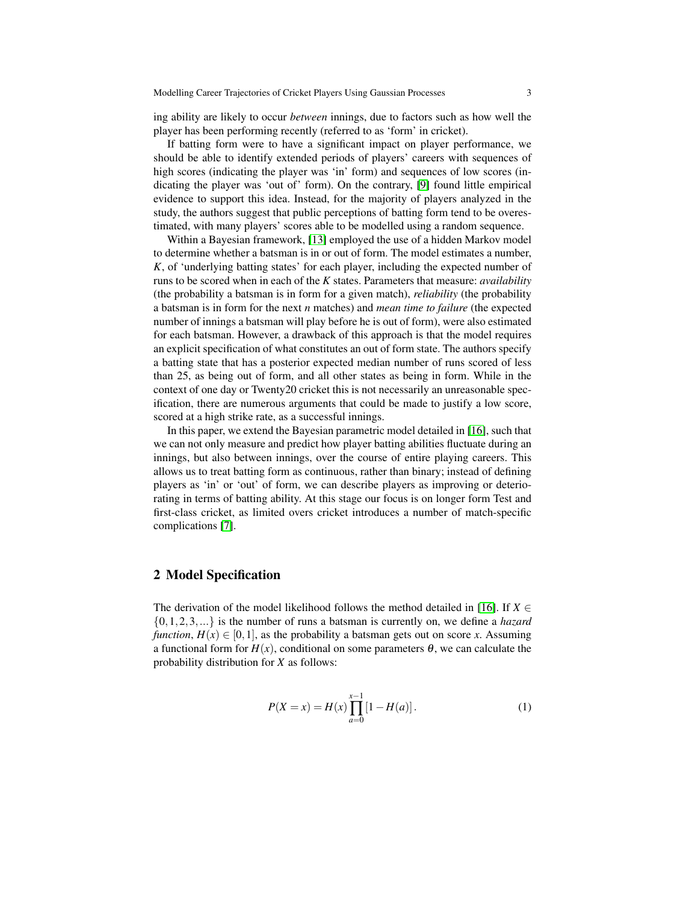ing ability are likely to occur *between* innings, due to factors such as how well the player has been performing recently (referred to as 'form' in cricket).

If batting form were to have a significant impact on player performance, we should be able to identify extended periods of players' careers with sequences of high scores (indicating the player was 'in' form) and sequences of low scores (indicating the player was 'out of' form). On the contrary, [\[9\]](#page-8-12) found little empirical evidence to support this idea. Instead, for the majority of players analyzed in the study, the authors suggest that public perceptions of batting form tend to be overestimated, with many players' scores able to be modelled using a random sequence.

Within a Bayesian framework, [\[13\]](#page-8-13) employed the use of a hidden Markov model to determine whether a batsman is in or out of form. The model estimates a number, *K*, of 'underlying batting states' for each player, including the expected number of runs to be scored when in each of the *K* states. Parameters that measure: *availability* (the probability a batsman is in form for a given match), *reliability* (the probability a batsman is in form for the next *n* matches) and *mean time to failure* (the expected number of innings a batsman will play before he is out of form), were also estimated for each batsman. However, a drawback of this approach is that the model requires an explicit specification of what constitutes an out of form state. The authors specify a batting state that has a posterior expected median number of runs scored of less than 25, as being out of form, and all other states as being in form. While in the context of one day or Twenty20 cricket this is not necessarily an unreasonable specification, there are numerous arguments that could be made to justify a low score, scored at a high strike rate, as a successful innings.

In this paper, we extend the Bayesian parametric model detailed in [\[16\]](#page-8-11), such that we can not only measure and predict how player batting abilities fluctuate during an innings, but also between innings, over the course of entire playing careers. This allows us to treat batting form as continuous, rather than binary; instead of defining players as 'in' or 'out' of form, we can describe players as improving or deteriorating in terms of batting ability. At this stage our focus is on longer form Test and first-class cricket, as limited overs cricket introduces a number of match-specific complications [\[7\]](#page-8-14).

## 2 Model Specification

The derivation of the model likelihood follows the method detailed in [\[16\]](#page-8-11). If  $X \in$ {0,1,2,3,...} is the number of runs a batsman is currently on, we define a *hazard function*,  $H(x) \in [0,1]$ , as the probability a batsman gets out on score *x*. Assuming a functional form for  $H(x)$ , conditional on some parameters  $\theta$ , we can calculate the probability distribution for *X* as follows:

$$
P(X = x) = H(x) \prod_{a=0}^{x-1} [1 - H(a)].
$$
 (1)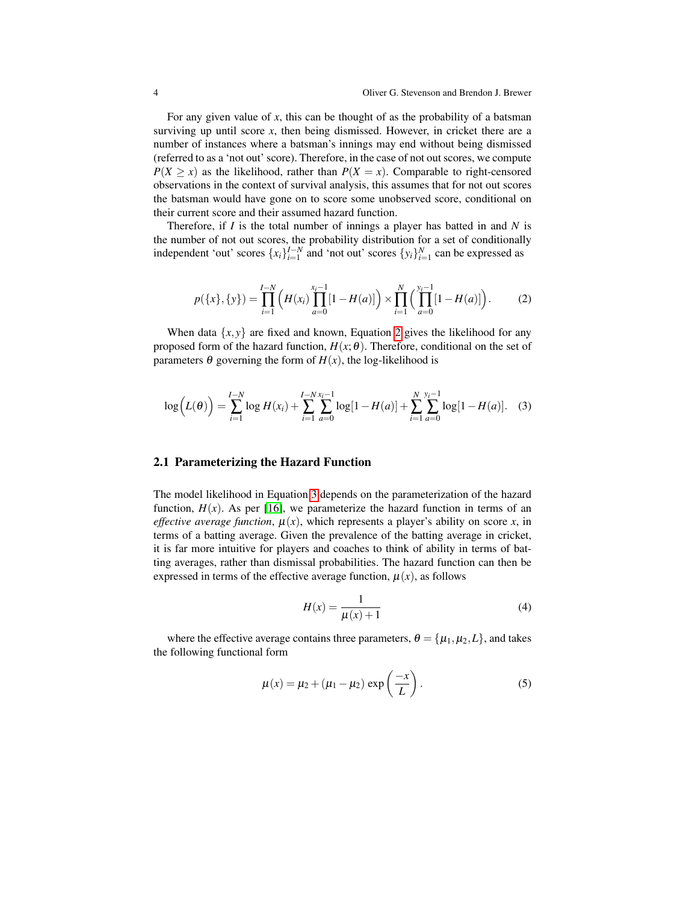For any given value of *x*, this can be thought of as the probability of a batsman surviving up until score *x*, then being dismissed. However, in cricket there are a number of instances where a batsman's innings may end without being dismissed (referred to as a 'not out' score). Therefore, in the case of not out scores, we compute  $P(X > x)$  as the likelihood, rather than  $P(X = x)$ . Comparable to right-censored observations in the context of survival analysis, this assumes that for not out scores the batsman would have gone on to score some unobserved score, conditional on their current score and their assumed hazard function.

Therefore, if *I* is the total number of innings a player has batted in and *N* is the number of not out scores, the probability distribution for a set of conditionally independent 'out' scores  $\{x_i\}_{i=1}^{I-N}$  and 'not out' scores  $\{y_i\}_{i=1}^{N}$  can be expressed as

<span id="page-3-0"></span>
$$
p(\{x\},\{y\}) = \prod_{i=1}^{I-N} \left( H(x_i) \prod_{a=0}^{x_i-1} [1 - H(a)] \right) \times \prod_{i=1}^{N} \left( \prod_{a=0}^{y_i-1} [1 - H(a)] \right). \tag{2}
$$

When data  $\{x, y\}$  are fixed and known, Equation [2](#page-3-0) gives the likelihood for any proposed form of the hazard function,  $H(x; \theta)$ . Therefore, conditional on the set of parameters  $\theta$  governing the form of  $H(x)$ , the log-likelihood is

$$
\log(L(\theta)) = \sum_{i=1}^{I-N} \log H(x_i) + \sum_{i=1}^{I-N} \sum_{a=0}^{x_i-1} \log[1 - H(a)] + \sum_{i=1}^{N} \sum_{a=0}^{y_i-1} \log[1 - H(a)]. \quad (3)
$$

#### 2.1 Parameterizing the Hazard Function

The model likelihood in Equation [3](#page-3-1) depends on the parameterization of the hazard function,  $H(x)$ . As per [\[16\]](#page-8-11), we parameterize the hazard function in terms of an *effective average function*,  $\mu(x)$ , which represents a player's ability on score x, in terms of a batting average. Given the prevalence of the batting average in cricket, it is far more intuitive for players and coaches to think of ability in terms of batting averages, rather than dismissal probabilities. The hazard function can then be expressed in terms of the effective average function,  $\mu(x)$ , as follows

<span id="page-3-1"></span>
$$
H(x) = \frac{1}{\mu(x) + 1} \tag{4}
$$

where the effective average contains three parameters,  $\theta = {\mu_1, \mu_2, L}$ , and takes the following functional form

<span id="page-3-2"></span>
$$
\mu(x) = \mu_2 + (\mu_1 - \mu_2) \exp\left(\frac{-x}{L}\right). \tag{5}
$$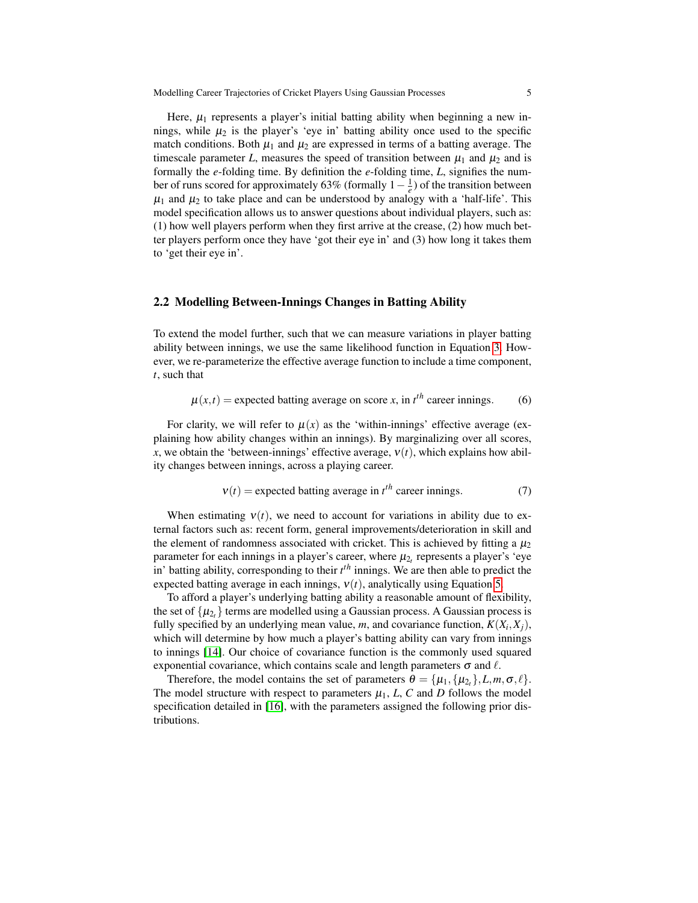Here,  $\mu_1$  represents a player's initial batting ability when beginning a new innings, while  $\mu_2$  is the player's 'eye in' batting ability once used to the specific match conditions. Both  $\mu_1$  and  $\mu_2$  are expressed in terms of a batting average. The timescale parameter L, measures the speed of transition between  $\mu_1$  and  $\mu_2$  and is formally the *e*-folding time. By definition the *e*-folding time, *L*, signifies the number of runs scored for approximately 63% (formally  $1 - \frac{1}{e}$ ) of the transition between  $\mu_1$  and  $\mu_2$  to take place and can be understood by analogy with a 'half-life'. This model specification allows us to answer questions about individual players, such as: (1) how well players perform when they first arrive at the crease, (2) how much better players perform once they have 'got their eye in' and (3) how long it takes them to 'get their eye in'.

## 2.2 Modelling Between-Innings Changes in Batting Ability

To extend the model further, such that we can measure variations in player batting ability between innings, we use the same likelihood function in Equation [3.](#page-3-1) However, we re-parameterize the effective average function to include a time component, *t*, such that

$$
\mu(x,t) = \text{expected betting average on score } x \text{, in } t^{th} \text{ career innings.}
$$
 (6)

For clarity, we will refer to  $\mu(x)$  as the 'within-innings' effective average (explaining how ability changes within an innings). By marginalizing over all scores, *x*, we obtain the 'between-innings' effective average,  $v(t)$ , which explains how ability changes between innings, across a playing career.

$$
v(t) = expected \text{ batting average in } t^{th} \text{ career innings.}
$$
 (7)

When estimating  $v(t)$ , we need to account for variations in ability due to external factors such as: recent form, general improvements/deterioration in skill and the element of randomness associated with cricket. This is achieved by fitting a  $\mu_2$ parameter for each innings in a player's career, where  $\mu_{2_t}$  represents a player's 'eye in' batting ability, corresponding to their *t th* innings. We are then able to predict the expected batting average in each innings,  $v(t)$ , analytically using Equation [5.](#page-3-2)

To afford a player's underlying batting ability a reasonable amount of flexibility, the set of  $\{\mu_{2_t}\}$  terms are modelled using a Gaussian process. A Gaussian process is fully specified by an underlying mean value, m, and covariance function,  $K(X_i, X_j)$ , which will determine by how much a player's batting ability can vary from innings to innings [\[14\]](#page-8-15). Our choice of covariance function is the commonly used squared exponential covariance, which contains scale and length parameters  $\sigma$  and  $\ell$ .

Therefore, the model contains the set of parameters  $\theta = {\mu_1, {\mu_2, \ldots, \sigma, \ell}}.$ The model structure with respect to parameters  $\mu_1$ , *L*, *C* and *D* follows the model specification detailed in [\[16\]](#page-8-11), with the parameters assigned the following prior distributions.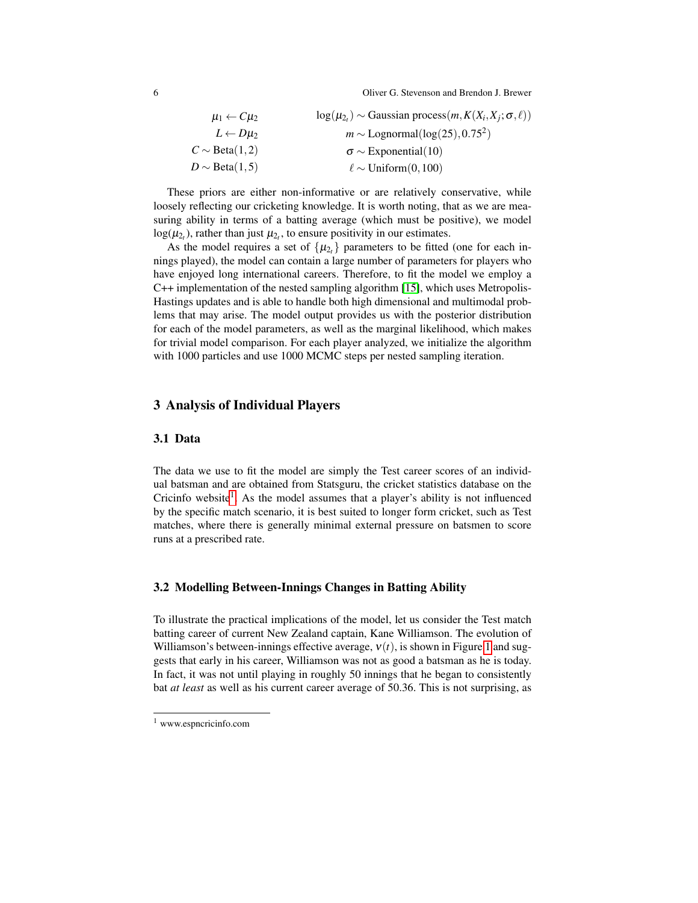6 Oliver G. Stevenson and Brendon J. Brewer

| $\mu_1 \leftarrow C \mu_2$ | $log(\mu_{2_t}) \sim$ Gaussian process $(m, K(X_i, X_j; \sigma, \ell))$ |
|----------------------------|-------------------------------------------------------------------------|
| $L \leftarrow D\mu_2$      | $m \sim$ Lognormal(log(25), 0.75 <sup>2</sup> )                         |
| $C \sim \text{Beta}(1, 2)$ | $\sigma \sim$ Exponential(10)                                           |
| $D \sim \text{Beta}(1, 5)$ | $\ell \sim$ Uniform $(0, 100)$                                          |

These priors are either non-informative or are relatively conservative, while loosely reflecting our cricketing knowledge. It is worth noting, that as we are measuring ability in terms of a batting average (which must be positive), we model  $log(\mu_{2t})$ , rather than just  $\mu_{2t}$ , to ensure positivity in our estimates.

As the model requires a set of  $\{\mu_{2t}\}$  parameters to be fitted (one for each innings played), the model can contain a large number of parameters for players who have enjoyed long international careers. Therefore, to fit the model we employ a C++ implementation of the nested sampling algorithm [\[15\]](#page-8-16), which uses Metropolis-Hastings updates and is able to handle both high dimensional and multimodal problems that may arise. The model output provides us with the posterior distribution for each of the model parameters, as well as the marginal likelihood, which makes for trivial model comparison. For each player analyzed, we initialize the algorithm with 1000 particles and use 1000 MCMC steps per nested sampling iteration.

## 3 Analysis of Individual Players

## 3.1 Data

The data we use to fit the model are simply the Test career scores of an individual batsman and are obtained from Statsguru, the cricket statistics database on the Cricinfo website<sup>[1](#page-5-0)</sup>. As the model assumes that a player's ability is not influenced by the specific match scenario, it is best suited to longer form cricket, such as Test matches, where there is generally minimal external pressure on batsmen to score runs at a prescribed rate.

#### 3.2 Modelling Between-Innings Changes in Batting Ability

To illustrate the practical implications of the model, let us consider the Test match batting career of current New Zealand captain, Kane Williamson. The evolution of Williamson's between-innings effective average,  $v(t)$ , is shown in Figure [1](#page-6-0) and suggests that early in his career, Williamson was not as good a batsman as he is today. In fact, it was not until playing in roughly 50 innings that he began to consistently bat *at least* as well as his current career average of 50.36. This is not surprising, as

<span id="page-5-0"></span><sup>1</sup> www.espncricinfo.com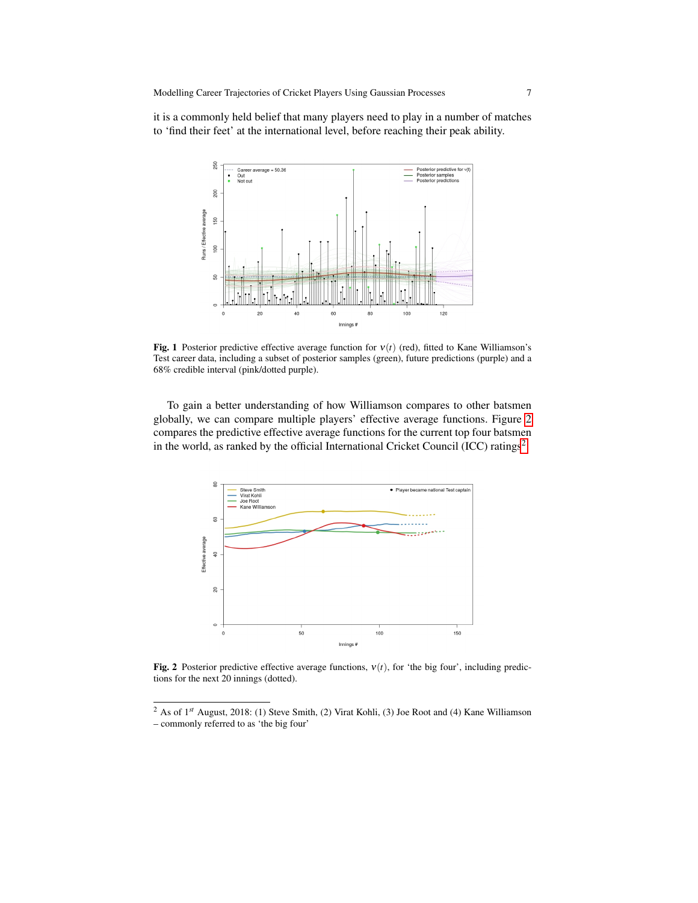it is a commonly held belief that many players need to play in a number of matches to 'find their feet' at the international level, before reaching their peak ability.



<span id="page-6-0"></span>Fig. 1 Posterior predictive effective average function for  $v(t)$  (red), fitted to Kane Williamson's Test career data, including a subset of posterior samples (green), future predictions (purple) and a 68% credible interval (pink/dotted purple).

To gain a better understanding of how Williamson compares to other batsmen globally, we can compare multiple players' effective average functions. Figure [2](#page-6-1) compares the predictive effective average functions for the current top four batsmen in the world, as ranked by the official International Cricket Council (ICC) ratings<sup>[2](#page-6-2)</sup>.



<span id="page-6-1"></span>**Fig. 2** Posterior predictive effective average functions,  $v(t)$ , for 'the big four', including predictions for the next 20 innings (dotted).

<span id="page-6-2"></span><sup>&</sup>lt;sup>2</sup> As of 1<sup>st</sup> August, 2018: (1) Steve Smith, (2) Virat Kohli, (3) Joe Root and (4) Kane Williamson – commonly referred to as 'the big four'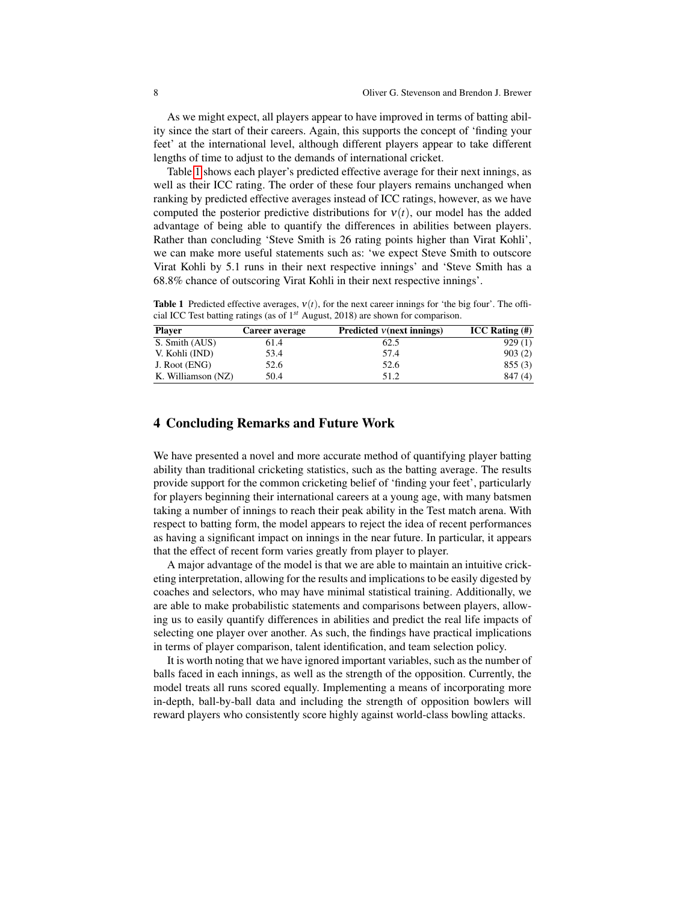As we might expect, all players appear to have improved in terms of batting ability since the start of their careers. Again, this supports the concept of 'finding your feet' at the international level, although different players appear to take different lengths of time to adjust to the demands of international cricket.

Table [1](#page-7-0) shows each player's predicted effective average for their next innings, as well as their ICC rating. The order of these four players remains unchanged when ranking by predicted effective averages instead of ICC ratings, however, as we have computed the posterior predictive distributions for  $v(t)$ , our model has the added advantage of being able to quantify the differences in abilities between players. Rather than concluding 'Steve Smith is 26 rating points higher than Virat Kohli', we can make more useful statements such as: 'we expect Steve Smith to outscore Virat Kohli by 5.1 runs in their next respective innings' and 'Steve Smith has a 68.8% chance of outscoring Virat Kohli in their next respective innings'.

<span id="page-7-0"></span>**Table 1** Predicted effective averages,  $v(t)$ , for the next career innings for 'the big four'. The official ICC Test batting ratings (as of 1*st* August, 2018) are shown for comparison.

| <b>Player</b>      | Career average | Predicted $v$ (next innings) | $ICC$ Rating $(\#)$ |
|--------------------|----------------|------------------------------|---------------------|
| S. Smith (AUS)     | 61.4           | 62.5                         | 929(1)              |
| V. Kohli (IND)     | 53.4           | 57.4                         | 903(2)              |
| J. Root (ENG)      | 52.6           | 52.6                         | 855(3)              |
| K. Williamson (NZ) | 50.4           | 51.2                         | 847(4)              |

## 4 Concluding Remarks and Future Work

We have presented a novel and more accurate method of quantifying player batting ability than traditional cricketing statistics, such as the batting average. The results provide support for the common cricketing belief of 'finding your feet', particularly for players beginning their international careers at a young age, with many batsmen taking a number of innings to reach their peak ability in the Test match arena. With respect to batting form, the model appears to reject the idea of recent performances as having a significant impact on innings in the near future. In particular, it appears that the effect of recent form varies greatly from player to player.

A major advantage of the model is that we are able to maintain an intuitive cricketing interpretation, allowing for the results and implications to be easily digested by coaches and selectors, who may have minimal statistical training. Additionally, we are able to make probabilistic statements and comparisons between players, allowing us to easily quantify differences in abilities and predict the real life impacts of selecting one player over another. As such, the findings have practical implications in terms of player comparison, talent identification, and team selection policy.

It is worth noting that we have ignored important variables, such as the number of balls faced in each innings, as well as the strength of the opposition. Currently, the model treats all runs scored equally. Implementing a means of incorporating more in-depth, ball-by-ball data and including the strength of opposition bowlers will reward players who consistently score highly against world-class bowling attacks.